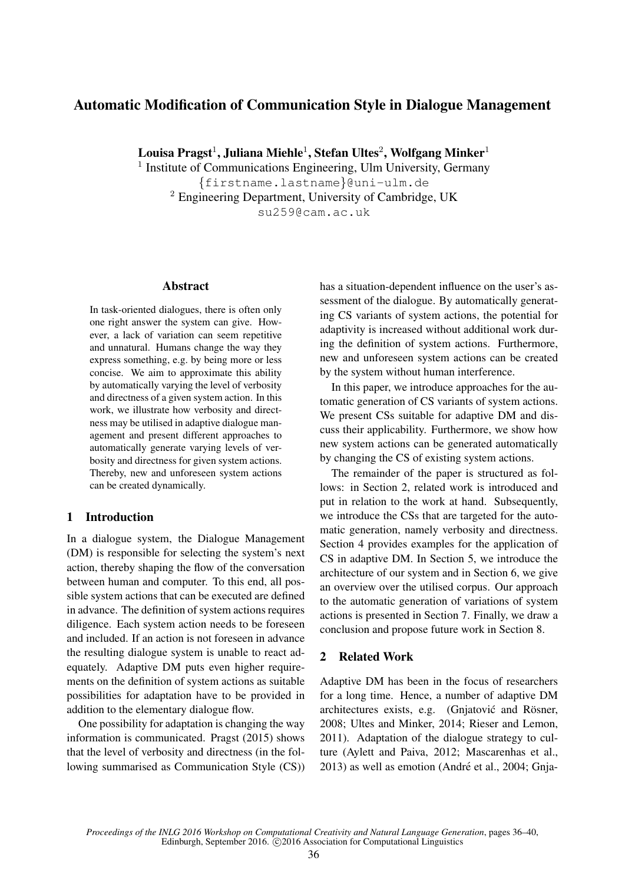# Automatic Modification of Communication Style in Dialogue Management

Louisa Pragst $^1$ , Juliana Miehle $^1$ , Stefan Ultes $^2$ , Wolfgang Minker $^1$ 

<sup>1</sup> Institute of Communications Engineering, Ulm University, Germany {firstname.lastname}@uni-ulm.de <sup>2</sup> Engineering Department, University of Cambridge, UK su259@cam.ac.uk

### **Abstract**

In task-oriented dialogues, there is often only one right answer the system can give. However, a lack of variation can seem repetitive and unnatural. Humans change the way they express something, e.g. by being more or less concise. We aim to approximate this ability by automatically varying the level of verbosity and directness of a given system action. In this work, we illustrate how verbosity and directness may be utilised in adaptive dialogue management and present different approaches to automatically generate varying levels of verbosity and directness for given system actions. Thereby, new and unforeseen system actions can be created dynamically.

# 1 Introduction

In a dialogue system, the Dialogue Management (DM) is responsible for selecting the system's next action, thereby shaping the flow of the conversation between human and computer. To this end, all possible system actions that can be executed are defined in advance. The definition of system actions requires diligence. Each system action needs to be foreseen and included. If an action is not foreseen in advance the resulting dialogue system is unable to react adequately. Adaptive DM puts even higher requirements on the definition of system actions as suitable possibilities for adaptation have to be provided in addition to the elementary dialogue flow.

One possibility for adaptation is changing the way information is communicated. Pragst (2015) shows that the level of verbosity and directness (in the following summarised as Communication Style (CS)) has a situation-dependent influence on the user's assessment of the dialogue. By automatically generating CS variants of system actions, the potential for adaptivity is increased without additional work during the definition of system actions. Furthermore, new and unforeseen system actions can be created by the system without human interference.

In this paper, we introduce approaches for the automatic generation of CS variants of system actions. We present CSs suitable for adaptive DM and discuss their applicability. Furthermore, we show how new system actions can be generated automatically by changing the CS of existing system actions.

The remainder of the paper is structured as follows: in Section 2, related work is introduced and put in relation to the work at hand. Subsequently, we introduce the CSs that are targeted for the automatic generation, namely verbosity and directness. Section 4 provides examples for the application of CS in adaptive DM. In Section 5, we introduce the architecture of our system and in Section 6, we give an overview over the utilised corpus. Our approach to the automatic generation of variations of system actions is presented in Section 7. Finally, we draw a conclusion and propose future work in Section 8.

#### 2 Related Work

Adaptive DM has been in the focus of researchers for a long time. Hence, a number of adaptive DM architectures exists, e.g. (Gnjatović and Rösner, 2008; Ultes and Minker, 2014; Rieser and Lemon, 2011). Adaptation of the dialogue strategy to culture (Aylett and Paiva, 2012; Mascarenhas et al., 2013) as well as emotion (André et al., 2004; Gnja-

*Proceedings of the INLG 2016 Workshop on Computational Creativity and Natural Language Generation*, pages 36–40, Edinburgh, September 2016. C2016 Association for Computational Linguistics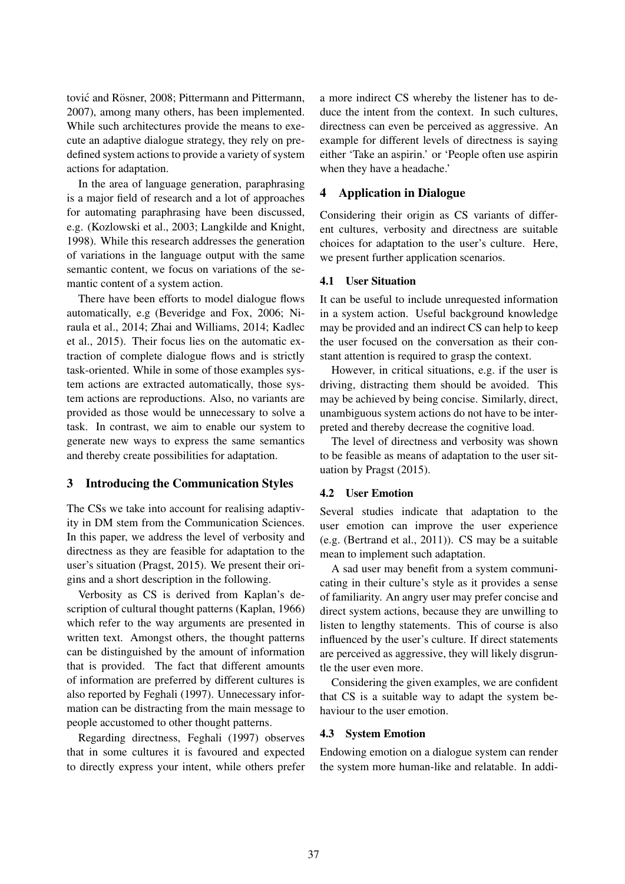tović and Rösner, 2008; Pittermann and Pittermann, 2007), among many others, has been implemented. While such architectures provide the means to execute an adaptive dialogue strategy, they rely on predefined system actions to provide a variety of system actions for adaptation.

In the area of language generation, paraphrasing is a major field of research and a lot of approaches for automating paraphrasing have been discussed, e.g. (Kozlowski et al., 2003; Langkilde and Knight, 1998). While this research addresses the generation of variations in the language output with the same semantic content, we focus on variations of the semantic content of a system action.

There have been efforts to model dialogue flows automatically, e.g (Beveridge and Fox, 2006; Niraula et al., 2014; Zhai and Williams, 2014; Kadlec et al., 2015). Their focus lies on the automatic extraction of complete dialogue flows and is strictly task-oriented. While in some of those examples system actions are extracted automatically, those system actions are reproductions. Also, no variants are provided as those would be unnecessary to solve a task. In contrast, we aim to enable our system to generate new ways to express the same semantics and thereby create possibilities for adaptation.

#### 3 Introducing the Communication Styles

The CSs we take into account for realising adaptivity in DM stem from the Communication Sciences. In this paper, we address the level of verbosity and directness as they are feasible for adaptation to the user's situation (Pragst, 2015). We present their origins and a short description in the following.

Verbosity as CS is derived from Kaplan's description of cultural thought patterns (Kaplan, 1966) which refer to the way arguments are presented in written text. Amongst others, the thought patterns can be distinguished by the amount of information that is provided. The fact that different amounts of information are preferred by different cultures is also reported by Feghali (1997). Unnecessary information can be distracting from the main message to people accustomed to other thought patterns.

Regarding directness, Feghali (1997) observes that in some cultures it is favoured and expected to directly express your intent, while others prefer a more indirect CS whereby the listener has to deduce the intent from the context. In such cultures, directness can even be perceived as aggressive. An example for different levels of directness is saying either 'Take an aspirin.' or 'People often use aspirin when they have a headache.'

## 4 Application in Dialogue

Considering their origin as CS variants of different cultures, verbosity and directness are suitable choices for adaptation to the user's culture. Here, we present further application scenarios.

#### 4.1 User Situation

It can be useful to include unrequested information in a system action. Useful background knowledge may be provided and an indirect CS can help to keep the user focused on the conversation as their constant attention is required to grasp the context.

However, in critical situations, e.g. if the user is driving, distracting them should be avoided. This may be achieved by being concise. Similarly, direct, unambiguous system actions do not have to be interpreted and thereby decrease the cognitive load.

The level of directness and verbosity was shown to be feasible as means of adaptation to the user situation by Pragst (2015).

#### 4.2 User Emotion

Several studies indicate that adaptation to the user emotion can improve the user experience (e.g. (Bertrand et al., 2011)). CS may be a suitable mean to implement such adaptation.

A sad user may benefit from a system communicating in their culture's style as it provides a sense of familiarity. An angry user may prefer concise and direct system actions, because they are unwilling to listen to lengthy statements. This of course is also influenced by the user's culture. If direct statements are perceived as aggressive, they will likely disgruntle the user even more.

Considering the given examples, we are confident that CS is a suitable way to adapt the system behaviour to the user emotion.

#### 4.3 System Emotion

Endowing emotion on a dialogue system can render the system more human-like and relatable. In addi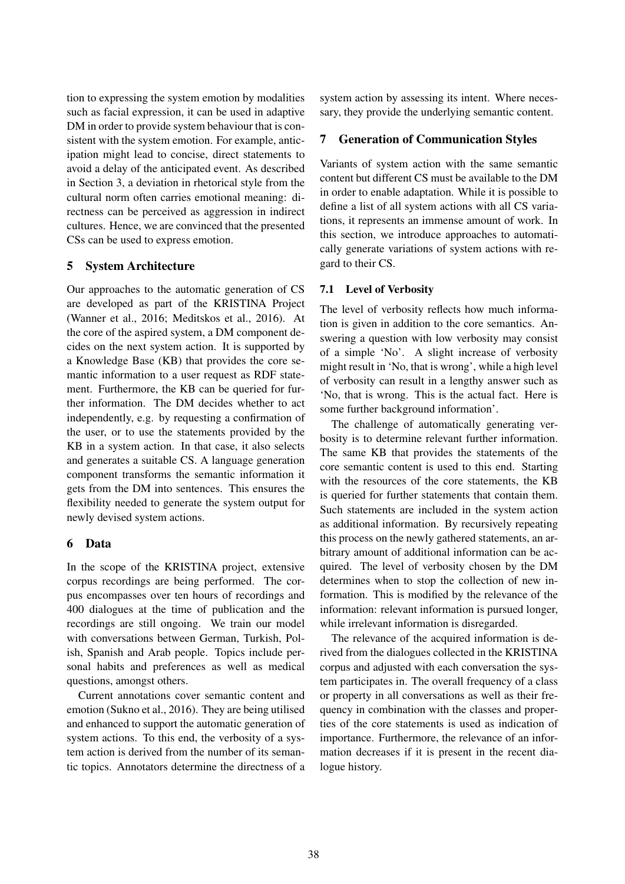tion to expressing the system emotion by modalities such as facial expression, it can be used in adaptive DM in order to provide system behaviour that is consistent with the system emotion. For example, anticipation might lead to concise, direct statements to avoid a delay of the anticipated event. As described in Section 3, a deviation in rhetorical style from the cultural norm often carries emotional meaning: directness can be perceived as aggression in indirect cultures. Hence, we are convinced that the presented CSs can be used to express emotion.

# 5 System Architecture

Our approaches to the automatic generation of CS are developed as part of the KRISTINA Project (Wanner et al., 2016; Meditskos et al., 2016). At the core of the aspired system, a DM component decides on the next system action. It is supported by a Knowledge Base (KB) that provides the core semantic information to a user request as RDF statement. Furthermore, the KB can be queried for further information. The DM decides whether to act independently, e.g. by requesting a confirmation of the user, or to use the statements provided by the KB in a system action. In that case, it also selects and generates a suitable CS. A language generation component transforms the semantic information it gets from the DM into sentences. This ensures the flexibility needed to generate the system output for newly devised system actions.

# 6 Data

In the scope of the KRISTINA project, extensive corpus recordings are being performed. The corpus encompasses over ten hours of recordings and 400 dialogues at the time of publication and the recordings are still ongoing. We train our model with conversations between German, Turkish, Polish, Spanish and Arab people. Topics include personal habits and preferences as well as medical questions, amongst others.

Current annotations cover semantic content and emotion (Sukno et al., 2016). They are being utilised and enhanced to support the automatic generation of system actions. To this end, the verbosity of a system action is derived from the number of its semantic topics. Annotators determine the directness of a

system action by assessing its intent. Where necessary, they provide the underlying semantic content.

# 7 Generation of Communication Styles

Variants of system action with the same semantic content but different CS must be available to the DM in order to enable adaptation. While it is possible to define a list of all system actions with all CS variations, it represents an immense amount of work. In this section, we introduce approaches to automatically generate variations of system actions with regard to their CS.

# 7.1 Level of Verbosity

The level of verbosity reflects how much information is given in addition to the core semantics. Answering a question with low verbosity may consist of a simple 'No'. A slight increase of verbosity might result in 'No, that is wrong', while a high level of verbosity can result in a lengthy answer such as 'No, that is wrong. This is the actual fact. Here is some further background information'.

The challenge of automatically generating verbosity is to determine relevant further information. The same KB that provides the statements of the core semantic content is used to this end. Starting with the resources of the core statements, the KB is queried for further statements that contain them. Such statements are included in the system action as additional information. By recursively repeating this process on the newly gathered statements, an arbitrary amount of additional information can be acquired. The level of verbosity chosen by the DM determines when to stop the collection of new information. This is modified by the relevance of the information: relevant information is pursued longer, while irrelevant information is disregarded.

The relevance of the acquired information is derived from the dialogues collected in the KRISTINA corpus and adjusted with each conversation the system participates in. The overall frequency of a class or property in all conversations as well as their frequency in combination with the classes and properties of the core statements is used as indication of importance. Furthermore, the relevance of an information decreases if it is present in the recent dialogue history.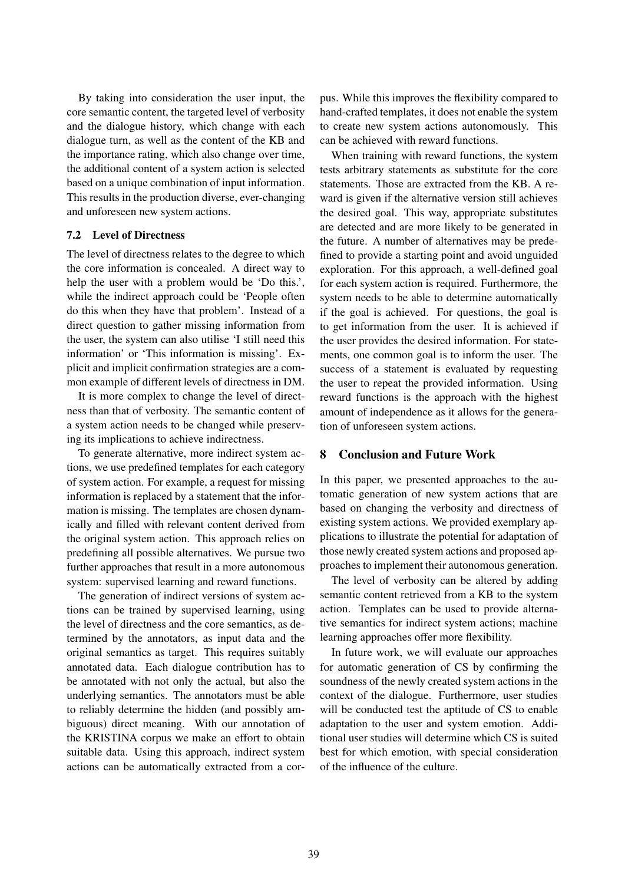By taking into consideration the user input, the core semantic content, the targeted level of verbosity and the dialogue history, which change with each dialogue turn, as well as the content of the KB and the importance rating, which also change over time, the additional content of a system action is selected based on a unique combination of input information. This results in the production diverse, ever-changing and unforeseen new system actions.

### 7.2 Level of Directness

The level of directness relates to the degree to which the core information is concealed. A direct way to help the user with a problem would be 'Do this.', while the indirect approach could be 'People often do this when they have that problem'. Instead of a direct question to gather missing information from the user, the system can also utilise 'I still need this information' or 'This information is missing'. Explicit and implicit confirmation strategies are a common example of different levels of directness in DM.

It is more complex to change the level of directness than that of verbosity. The semantic content of a system action needs to be changed while preserving its implications to achieve indirectness.

To generate alternative, more indirect system actions, we use predefined templates for each category of system action. For example, a request for missing information is replaced by a statement that the information is missing. The templates are chosen dynamically and filled with relevant content derived from the original system action. This approach relies on predefining all possible alternatives. We pursue two further approaches that result in a more autonomous system: supervised learning and reward functions.

The generation of indirect versions of system actions can be trained by supervised learning, using the level of directness and the core semantics, as determined by the annotators, as input data and the original semantics as target. This requires suitably annotated data. Each dialogue contribution has to be annotated with not only the actual, but also the underlying semantics. The annotators must be able to reliably determine the hidden (and possibly ambiguous) direct meaning. With our annotation of the KRISTINA corpus we make an effort to obtain suitable data. Using this approach, indirect system actions can be automatically extracted from a corpus. While this improves the flexibility compared to hand-crafted templates, it does not enable the system to create new system actions autonomously. This can be achieved with reward functions.

When training with reward functions, the system tests arbitrary statements as substitute for the core statements. Those are extracted from the KB. A reward is given if the alternative version still achieves the desired goal. This way, appropriate substitutes are detected and are more likely to be generated in the future. A number of alternatives may be predefined to provide a starting point and avoid unguided exploration. For this approach, a well-defined goal for each system action is required. Furthermore, the system needs to be able to determine automatically if the goal is achieved. For questions, the goal is to get information from the user. It is achieved if the user provides the desired information. For statements, one common goal is to inform the user. The success of a statement is evaluated by requesting the user to repeat the provided information. Using reward functions is the approach with the highest amount of independence as it allows for the generation of unforeseen system actions.

# 8 Conclusion and Future Work

In this paper, we presented approaches to the automatic generation of new system actions that are based on changing the verbosity and directness of existing system actions. We provided exemplary applications to illustrate the potential for adaptation of those newly created system actions and proposed approaches to implement their autonomous generation.

The level of verbosity can be altered by adding semantic content retrieved from a KB to the system action. Templates can be used to provide alternative semantics for indirect system actions; machine learning approaches offer more flexibility.

In future work, we will evaluate our approaches for automatic generation of CS by confirming the soundness of the newly created system actions in the context of the dialogue. Furthermore, user studies will be conducted test the aptitude of CS to enable adaptation to the user and system emotion. Additional user studies will determine which CS is suited best for which emotion, with special consideration of the influence of the culture.